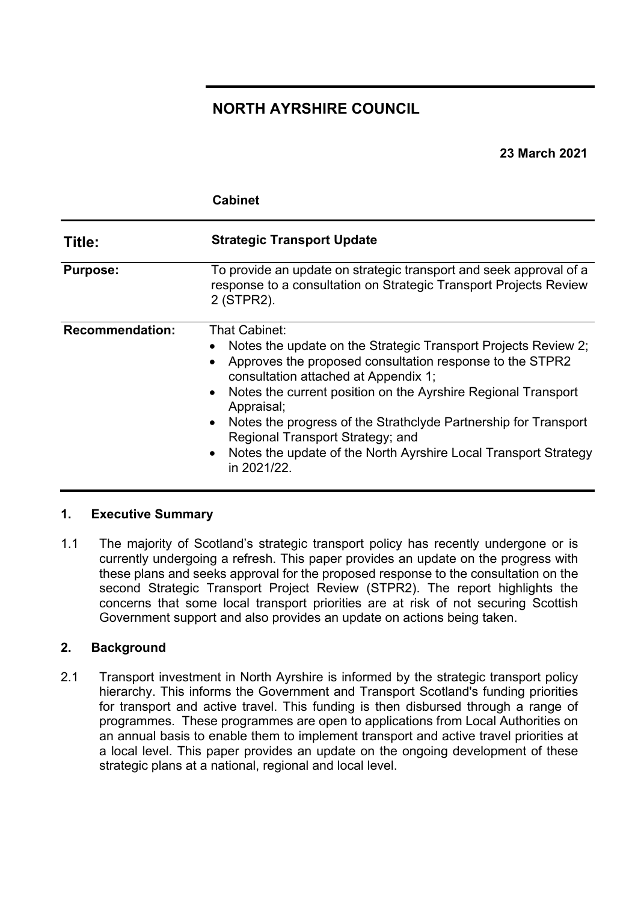# **NORTH AYRSHIRE COUNCIL**

## **23 March 2021**

|                        | <b>Cabinet</b>                                                                                                                                                                                                                                                                                                                                                                                                                                              |
|------------------------|-------------------------------------------------------------------------------------------------------------------------------------------------------------------------------------------------------------------------------------------------------------------------------------------------------------------------------------------------------------------------------------------------------------------------------------------------------------|
| Title:                 | <b>Strategic Transport Update</b>                                                                                                                                                                                                                                                                                                                                                                                                                           |
| <b>Purpose:</b>        | To provide an update on strategic transport and seek approval of a<br>response to a consultation on Strategic Transport Projects Review<br>2 (STPR2).                                                                                                                                                                                                                                                                                                       |
| <b>Recommendation:</b> | That Cabinet:<br>Notes the update on the Strategic Transport Projects Review 2;<br>Approves the proposed consultation response to the STPR2<br>consultation attached at Appendix 1;<br>Notes the current position on the Ayrshire Regional Transport<br>Appraisal;<br>Notes the progress of the Strathclyde Partnership for Transport<br>Regional Transport Strategy; and<br>Notes the update of the North Ayrshire Local Transport Strategy<br>in 2021/22. |

#### **1. Executive Summary**

1.1 The majority of Scotland's strategic transport policy has recently undergone or is currently undergoing a refresh. This paper provides an update on the progress with these plans and seeks approval for the proposed response to the consultation on the second Strategic Transport Project Review (STPR2). The report highlights the concerns that some local transport priorities are at risk of not securing Scottish Government support and also provides an update on actions being taken.

## **2. Background**

2.1 Transport investment in North Ayrshire is informed by the strategic transport policy hierarchy. This informs the Government and Transport Scotland's funding priorities for transport and active travel. This funding is then disbursed through a range of programmes. These programmes are open to applications from Local Authorities on an annual basis to enable them to implement transport and active travel priorities at a local level. This paper provides an update on the ongoing development of these strategic plans at a national, regional and local level.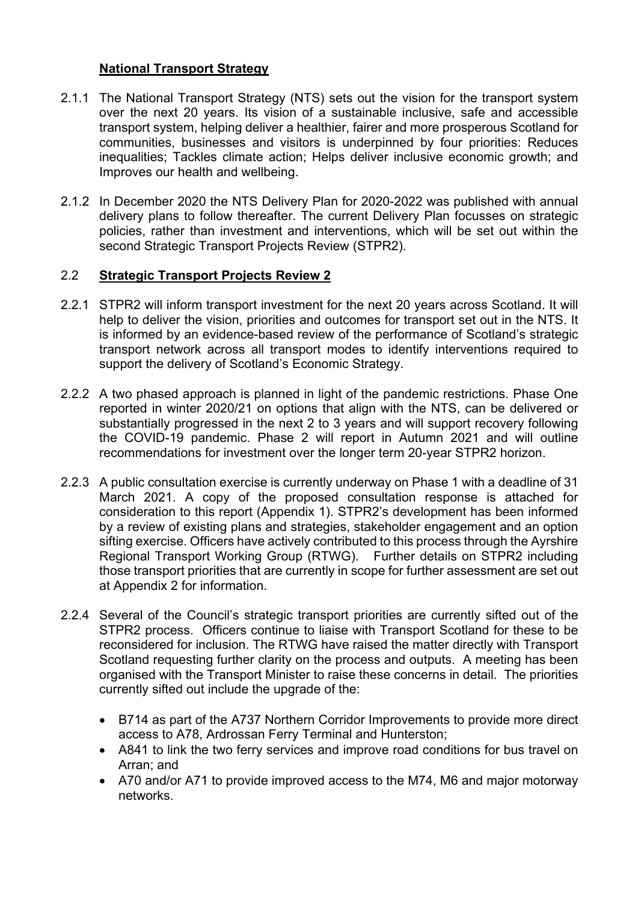### **National Transport Strategy**

- 2.1.1 The National Transport Strategy (NTS) sets out the vision for the transport system over the next 20 years. Its vision of a sustainable inclusive, safe and accessible transport system, helping deliver a healthier, fairer and more prosperous Scotland for communities, businesses and visitors is underpinned by four priorities: Reduces inequalities; Tackles climate action; Helps deliver inclusive economic growth; and Improves our health and wellbeing.
- 2.1.2 In December 2020 the NTS Delivery Plan for 2020-2022 was published with annual delivery plans to follow thereafter. The current Delivery Plan focusses on strategic policies, rather than investment and interventions, which will be set out within the second Strategic Transport Projects Review (STPR2).

## 2.2 **Strategic Transport Projects Review 2**

- 2.2.1 STPR2 will inform transport investment for the next 20 years across Scotland. It will help to deliver the vision, priorities and outcomes for transport set out in the NTS. It is informed by an evidence-based review of the performance of Scotland's strategic transport network across all transport modes to identify interventions required to support the delivery of Scotland's Economic Strategy.
- 2.2.2 A two phased approach is planned in light of the pandemic restrictions. Phase One reported in winter 2020/21 on options that align with the NTS, can be delivered or substantially progressed in the next 2 to 3 years and will support recovery following the COVID-19 pandemic. Phase 2 will report in Autumn 2021 and will outline recommendations for investment over the longer term 20-year STPR2 horizon.
- 2.2.3 A public consultation exercise is currently underway on Phase 1 with a deadline of 31 March 2021. A copy of the proposed consultation response is attached for consideration to this report (Appendix 1). STPR2's development has been informed by a review of existing plans and strategies, stakeholder engagement and an option sifting exercise. Officers have actively contributed to this process through the Ayrshire Regional Transport Working Group (RTWG). Further details on STPR2 including those transport priorities that are currently in scope for further assessment are set out at Appendix 2 for information.
- 2.2.4 Several of the Council's strategic transport priorities are currently sifted out of the STPR2 process. Officers continue to liaise with Transport Scotland for these to be reconsidered for inclusion. The RTWG have raised the matter directly with Transport Scotland requesting further clarity on the process and outputs. A meeting has been organised with the Transport Minister to raise these concerns in detail. The priorities currently sifted out include the upgrade of the:
	- B714 as part of the A737 Northern Corridor Improvements to provide more direct access to A78, Ardrossan Ferry Terminal and Hunterston;
	- A841 to link the two ferry services and improve road conditions for bus travel on Arran; and
	- A70 and/or A71 to provide improved access to the M74, M6 and major motorway networks.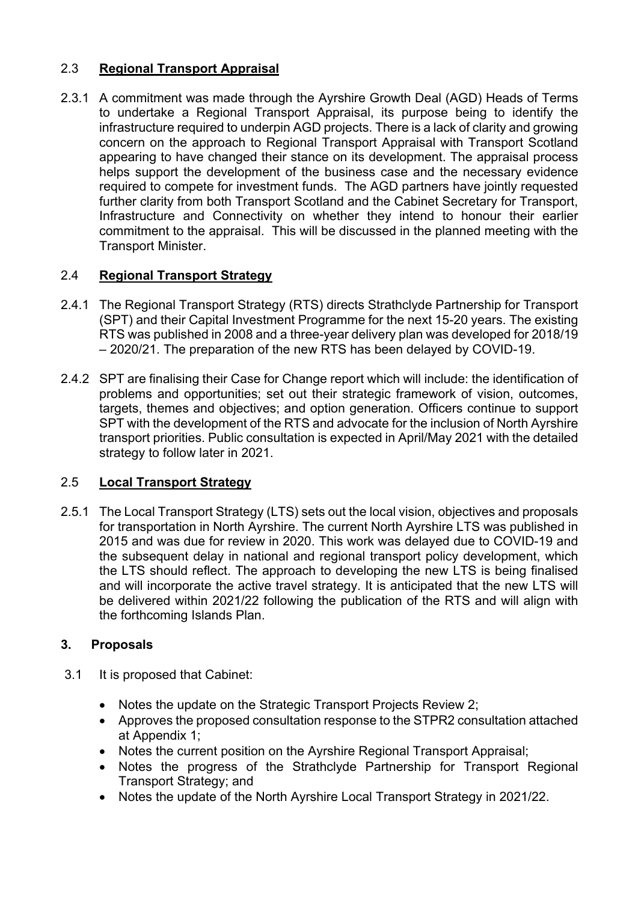# 2.3 **Regional Transport Appraisal**

2.3.1 A commitment was made through the Ayrshire Growth Deal (AGD) Heads of Terms to undertake a Regional Transport Appraisal, its purpose being to identify the infrastructure required to underpin AGD projects. There is a lack of clarity and growing concern on the approach to Regional Transport Appraisal with Transport Scotland appearing to have changed their stance on its development. The appraisal process helps support the development of the business case and the necessary evidence required to compete for investment funds. The AGD partners have jointly requested further clarity from both Transport Scotland and the Cabinet Secretary for Transport, Infrastructure and Connectivity on whether they intend to honour their earlier commitment to the appraisal. This will be discussed in the planned meeting with the Transport Minister.

# 2.4 **Regional Transport Strategy**

- 2.4.1 The Regional Transport Strategy (RTS) directs Strathclyde Partnership for Transport (SPT) and their Capital Investment Programme for the next 15-20 years. The existing RTS was published in 2008 and a three-year delivery plan was developed for 2018/19 – 2020/21. The preparation of the new RTS has been delayed by COVID-19.
- 2.4.2 SPT are finalising their Case for Change report which will include: the identification of problems and opportunities; set out their strategic framework of vision, outcomes, targets, themes and objectives; and option generation. Officers continue to support SPT with the development of the RTS and advocate for the inclusion of North Ayrshire transport priorities. Public consultation is expected in April/May 2021 with the detailed strategy to follow later in 2021.

# 2.5 **Local Transport Strategy**

2.5.1 The Local Transport Strategy (LTS) sets out the local vision, objectives and proposals for transportation in North Ayrshire. The current North Ayrshire LTS was published in 2015 and was due for review in 2020. This work was delayed due to COVID-19 and the subsequent delay in national and regional transport policy development, which the LTS should reflect. The approach to developing the new LTS is being finalised and will incorporate the active travel strategy. It is anticipated that the new LTS will be delivered within 2021/22 following the publication of the RTS and will align with the forthcoming Islands Plan.

## **3. Proposals**

- 3.1 It is proposed that Cabinet:
	- Notes the update on the Strategic Transport Projects Review 2;
	- Approves the proposed consultation response to the STPR2 consultation attached at Appendix 1;
	- Notes the current position on the Ayrshire Regional Transport Appraisal;
	- Notes the progress of the Strathclyde Partnership for Transport Regional Transport Strategy; and
	- Notes the update of the North Ayrshire Local Transport Strategy in 2021/22.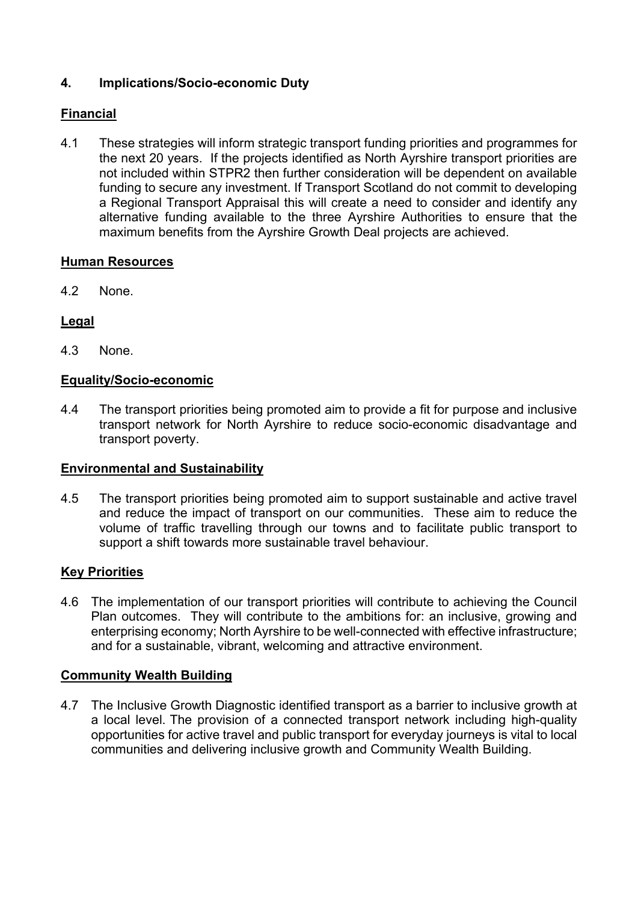# **4. Implications/Socio-economic Duty**

# **Financial**

4.1 These strategies will inform strategic transport funding priorities and programmes for the next 20 years. If the projects identified as North Ayrshire transport priorities are not included within STPR2 then further consideration will be dependent on available funding to secure any investment. If Transport Scotland do not commit to developing a Regional Transport Appraisal this will create a need to consider and identify any alternative funding available to the three Ayrshire Authorities to ensure that the maximum benefits from the Ayrshire Growth Deal projects are achieved.

#### **Human Resources**

4.2 None.

## **Legal**

4.3 None.

#### **Equality/Socio-economic**

4.4 The transport priorities being promoted aim to provide a fit for purpose and inclusive transport network for North Ayrshire to reduce socio-economic disadvantage and transport poverty.

#### **Environmental and Sustainability**

4.5 The transport priorities being promoted aim to support sustainable and active travel and reduce the impact of transport on our communities. These aim to reduce the volume of traffic travelling through our towns and to facilitate public transport to support a shift towards more sustainable travel behaviour.

#### **Key Priorities**

4.6 The implementation of our transport priorities will contribute to achieving the Council Plan outcomes. They will contribute to the ambitions for: an inclusive, growing and enterprising economy; North Ayrshire to be well-connected with effective infrastructure; and for a sustainable, vibrant, welcoming and attractive environment.

#### **Community Wealth Building**

4.7 The Inclusive Growth Diagnostic identified transport as a barrier to inclusive growth at a local level. The provision of a connected transport network including high-quality opportunities for active travel and public transport for everyday journeys is vital to local communities and delivering inclusive growth and Community Wealth Building.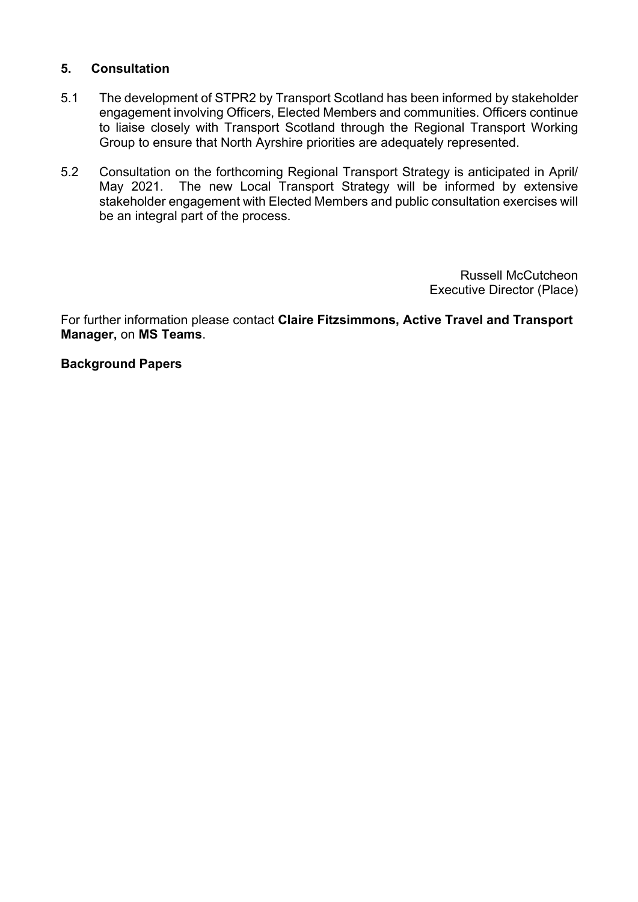### **5. Consultation**

- 5.1 The development of STPR2 by Transport Scotland has been informed by stakeholder engagement involving Officers, Elected Members and communities. Officers continue to liaise closely with Transport Scotland through the Regional Transport Working Group to ensure that North Ayrshire priorities are adequately represented.
- 5.2 Consultation on the forthcoming Regional Transport Strategy is anticipated in April/ May 2021. The new Local Transport Strategy will be informed by extensive stakeholder engagement with Elected Members and public consultation exercises will be an integral part of the process.

Russell McCutcheon Executive Director (Place)

For further information please contact **Claire Fitzsimmons, Active Travel and Transport Manager,** on **MS Teams**.

#### **Background Papers**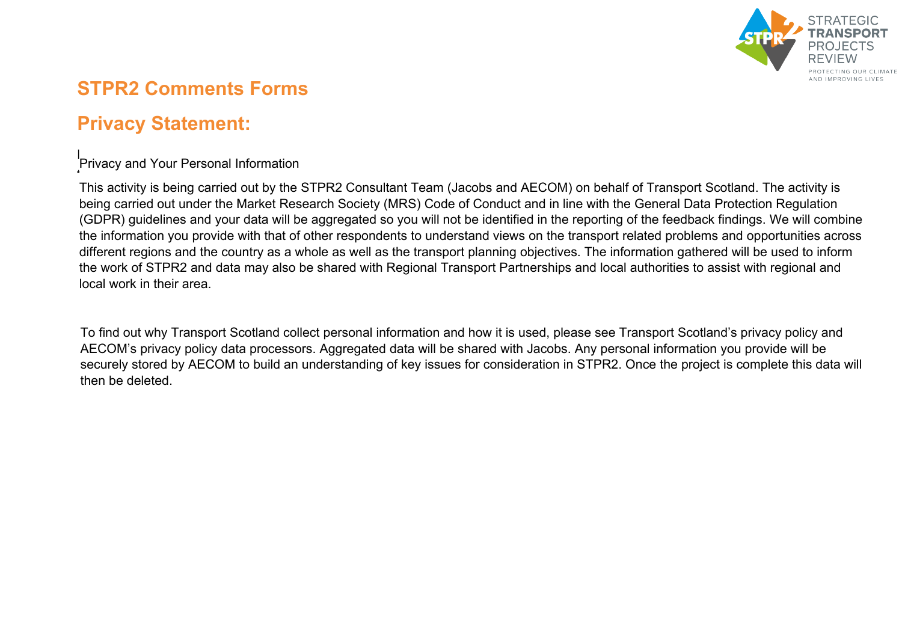

# **STPR2 Comments Forms**

# **Privacy Statement:**

 $\mathbb{L}$  $\cdot$  $\mathsf{L}$ Privacy and Your Personal Information<br>'

This activity is being carried out by the STPR2 Consultant Team (Jacobs and AECOM) on behalf of Transport Scotland. The activity is being carried out under the Market Research Society (MRS) Code of Conduct and in line with the General Data Protection Regulation (GDPR) guidelines and your data will be aggregated so you will not be identified in the reporting of the feedback findings. We will combine the information you provide with that of other respondents to understand views on the transport related problems and opportunities across different regions and the country as a whole as well as the transport planning objectives. The information gathered will be used to inform the work of STPR2 and data may also be shared with Regional Transport Partnerships and local authorities to assist with regional and local work in their area.

To find out why Transport Scotland collect personal information and how it is used, please see Transport Scotland's [privacy policy](http://www.transport.gov.scot/privacy-policy/) and AECOM's [privacy policy](http://www.aecom.com/privacy-policy/) data processors. Aggregated data will be shared with Jacobs. Any personal information you provide will be securely stored by AECOM to build an understanding of key issues for consideration in STPR2. Once the project is complete this data will then be deleted.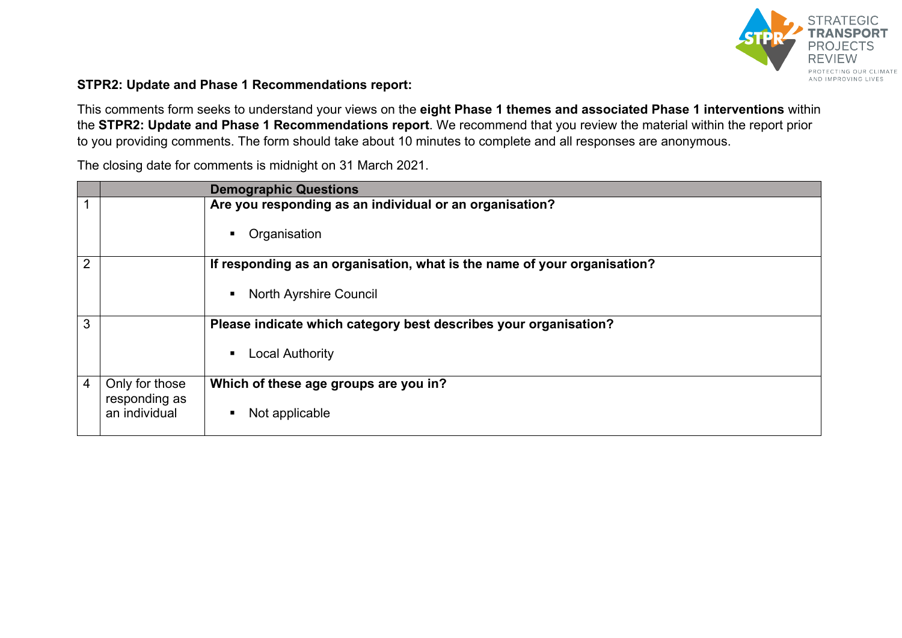

#### **STPR2: Update and Phase 1 Recommendations report:**

This comments form seeks to understand your views on the **eight Phase 1 themes and associated Phase 1 interventions** within the **STPR2: Update and Phase 1 Recommendations report**. We recommend that you review the material within the report prior to you providing comments. The form should take about 10 minutes to complete and all responses are anonymous.

The closing date for comments is midnight on 31 March 2021.

|                |                                 | <b>Demographic Questions</b>                                             |
|----------------|---------------------------------|--------------------------------------------------------------------------|
| 1              |                                 | Are you responding as an individual or an organisation?                  |
|                |                                 | Organisation<br>п                                                        |
| 2              |                                 | If responding as an organisation, what is the name of your organisation? |
|                |                                 | <b>North Ayrshire Council</b><br>п                                       |
| 3              |                                 | Please indicate which category best describes your organisation?         |
|                |                                 | <b>Local Authority</b><br>п                                              |
| $\overline{4}$ | Only for those<br>responding as | Which of these age groups are you in?                                    |
|                | an individual                   | Not applicable<br>п                                                      |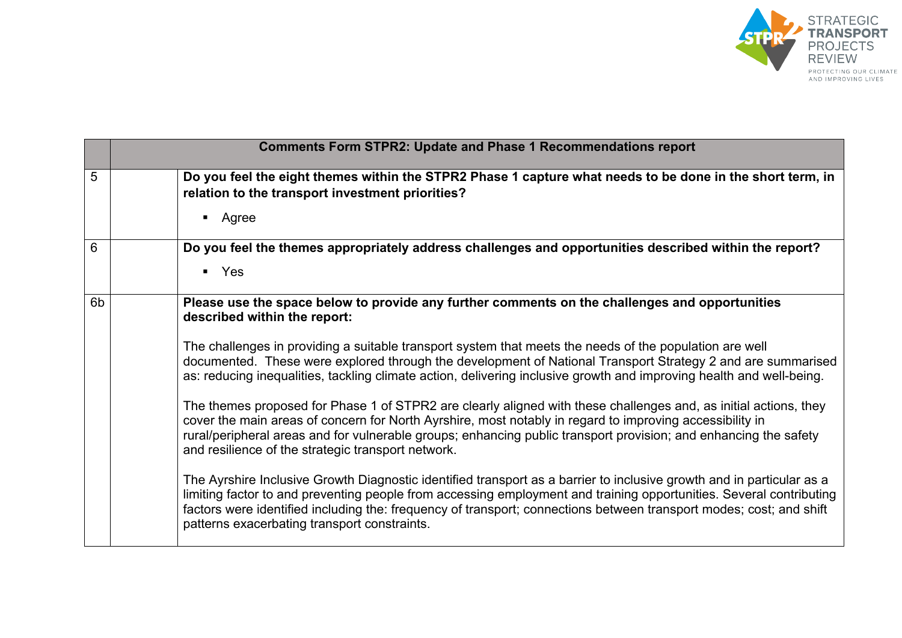

|    | <b>Comments Form STPR2: Update and Phase 1 Recommendations report</b>                                                                                                                                                                                                                                                                                                                                                                                                                                                                                                                                                                                                                                                                                                                                                                                                                                                                                                                                                                                                                                                                                                                                                                                                                                             |  |
|----|-------------------------------------------------------------------------------------------------------------------------------------------------------------------------------------------------------------------------------------------------------------------------------------------------------------------------------------------------------------------------------------------------------------------------------------------------------------------------------------------------------------------------------------------------------------------------------------------------------------------------------------------------------------------------------------------------------------------------------------------------------------------------------------------------------------------------------------------------------------------------------------------------------------------------------------------------------------------------------------------------------------------------------------------------------------------------------------------------------------------------------------------------------------------------------------------------------------------------------------------------------------------------------------------------------------------|--|
| 5  | Do you feel the eight themes within the STPR2 Phase 1 capture what needs to be done in the short term, in<br>relation to the transport investment priorities?<br>• Agree                                                                                                                                                                                                                                                                                                                                                                                                                                                                                                                                                                                                                                                                                                                                                                                                                                                                                                                                                                                                                                                                                                                                          |  |
| 6  | Do you feel the themes appropriately address challenges and opportunities described within the report?<br>$\blacksquare$ Yes                                                                                                                                                                                                                                                                                                                                                                                                                                                                                                                                                                                                                                                                                                                                                                                                                                                                                                                                                                                                                                                                                                                                                                                      |  |
| 6b | Please use the space below to provide any further comments on the challenges and opportunities<br>described within the report:<br>The challenges in providing a suitable transport system that meets the needs of the population are well<br>documented. These were explored through the development of National Transport Strategy 2 and are summarised<br>as: reducing inequalities, tackling climate action, delivering inclusive growth and improving health and well-being.<br>The themes proposed for Phase 1 of STPR2 are clearly aligned with these challenges and, as initial actions, they<br>cover the main areas of concern for North Ayrshire, most notably in regard to improving accessibility in<br>rural/peripheral areas and for vulnerable groups; enhancing public transport provision; and enhancing the safety<br>and resilience of the strategic transport network.<br>The Ayrshire Inclusive Growth Diagnostic identified transport as a barrier to inclusive growth and in particular as a<br>limiting factor to and preventing people from accessing employment and training opportunities. Several contributing<br>factors were identified including the: frequency of transport; connections between transport modes; cost; and shift<br>patterns exacerbating transport constraints. |  |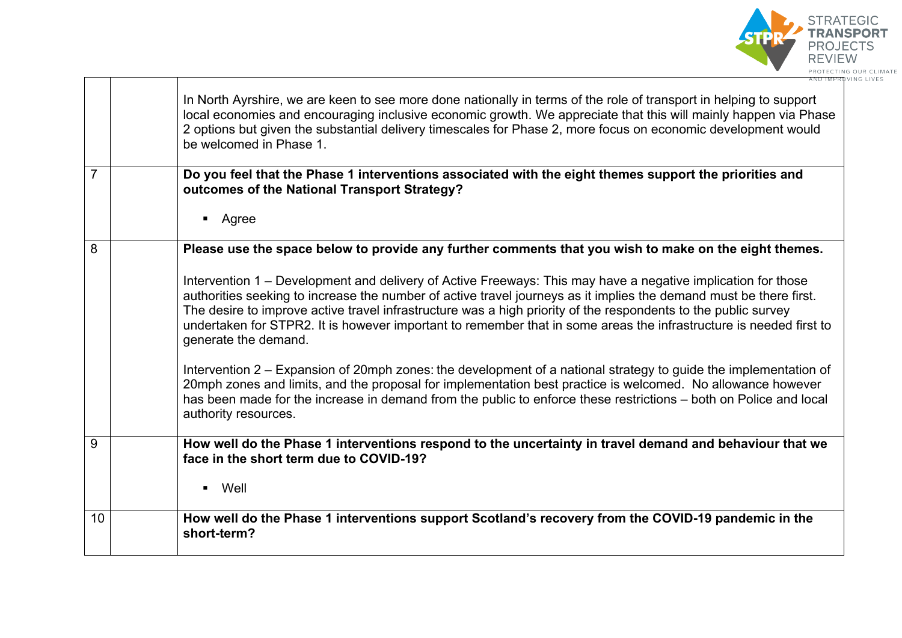

|                | In North Ayrshire, we are keen to see more done nationally in terms of the role of transport in helping to support<br>local economies and encouraging inclusive economic growth. We appreciate that this will mainly happen via Phase<br>2 options but given the substantial delivery timescales for Phase 2, more focus on economic development would<br>be welcomed in Phase 1.                                                                                                                  |
|----------------|----------------------------------------------------------------------------------------------------------------------------------------------------------------------------------------------------------------------------------------------------------------------------------------------------------------------------------------------------------------------------------------------------------------------------------------------------------------------------------------------------|
| $\overline{7}$ | Do you feel that the Phase 1 interventions associated with the eight themes support the priorities and<br>outcomes of the National Transport Strategy?                                                                                                                                                                                                                                                                                                                                             |
|                | Agree<br>$\blacksquare$                                                                                                                                                                                                                                                                                                                                                                                                                                                                            |
| 8              | Please use the space below to provide any further comments that you wish to make on the eight themes.                                                                                                                                                                                                                                                                                                                                                                                              |
|                | Intervention 1 – Development and delivery of Active Freeways: This may have a negative implication for those<br>authorities seeking to increase the number of active travel journeys as it implies the demand must be there first.<br>The desire to improve active travel infrastructure was a high priority of the respondents to the public survey<br>undertaken for STPR2. It is however important to remember that in some areas the infrastructure is needed first to<br>generate the demand. |
|                | Intervention 2 – Expansion of 20mph zones: the development of a national strategy to guide the implementation of<br>20mph zones and limits, and the proposal for implementation best practice is welcomed. No allowance however<br>has been made for the increase in demand from the public to enforce these restrictions - both on Police and local<br>authority resources.                                                                                                                       |
| 9              | How well do the Phase 1 interventions respond to the uncertainty in travel demand and behaviour that we<br>face in the short term due to COVID-19?                                                                                                                                                                                                                                                                                                                                                 |
|                | Well<br>$\blacksquare$                                                                                                                                                                                                                                                                                                                                                                                                                                                                             |
| 10             | How well do the Phase 1 interventions support Scotland's recovery from the COVID-19 pandemic in the<br>short-term?                                                                                                                                                                                                                                                                                                                                                                                 |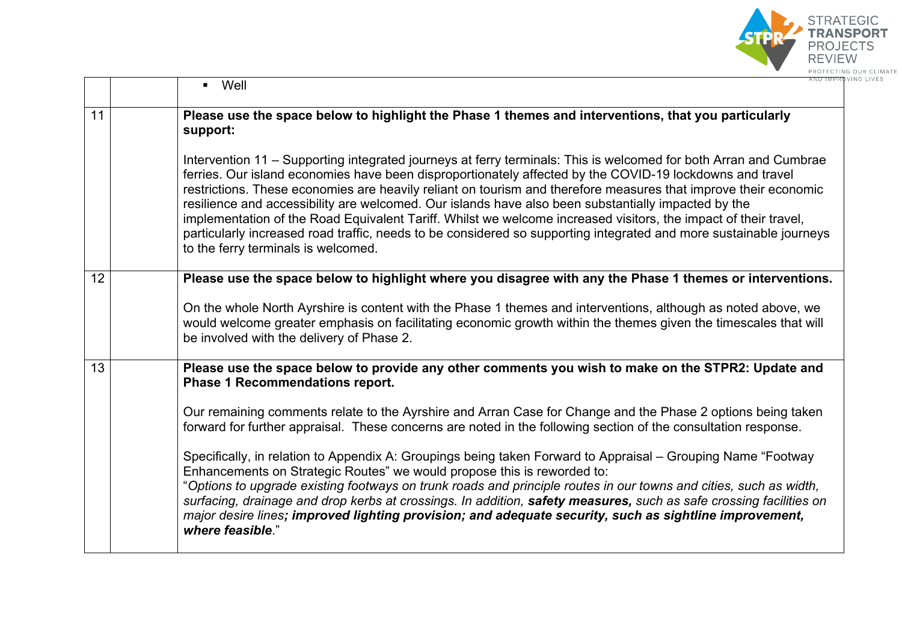

|    | $\blacksquare$ Well                                        | AND IMPRI                                                                                                                                                                                                                                                                                                                                                                                                                                                                                                                                                                                                                                                                                                                                                                                                                                                                           |
|----|------------------------------------------------------------|-------------------------------------------------------------------------------------------------------------------------------------------------------------------------------------------------------------------------------------------------------------------------------------------------------------------------------------------------------------------------------------------------------------------------------------------------------------------------------------------------------------------------------------------------------------------------------------------------------------------------------------------------------------------------------------------------------------------------------------------------------------------------------------------------------------------------------------------------------------------------------------|
| 11 | support:                                                   | Please use the space below to highlight the Phase 1 themes and interventions, that you particularly                                                                                                                                                                                                                                                                                                                                                                                                                                                                                                                                                                                                                                                                                                                                                                                 |
|    | to the ferry terminals is welcomed.                        | Intervention 11 – Supporting integrated journeys at ferry terminals: This is welcomed for both Arran and Cumbrae<br>ferries. Our island economies have been disproportionately affected by the COVID-19 lockdowns and travel<br>restrictions. These economies are heavily reliant on tourism and therefore measures that improve their economic<br>resilience and accessibility are welcomed. Our islands have also been substantially impacted by the<br>implementation of the Road Equivalent Tariff. Whilst we welcome increased visitors, the impact of their travel,<br>particularly increased road traffic, needs to be considered so supporting integrated and more sustainable journeys                                                                                                                                                                                     |
| 12 |                                                            | Please use the space below to highlight where you disagree with any the Phase 1 themes or interventions.<br>On the whole North Ayrshire is content with the Phase 1 themes and interventions, although as noted above, we<br>would welcome greater emphasis on facilitating economic growth within the themes given the timescales that will<br>be involved with the delivery of Phase 2.                                                                                                                                                                                                                                                                                                                                                                                                                                                                                           |
| 13 | <b>Phase 1 Recommendations report.</b><br>where feasible." | Please use the space below to provide any other comments you wish to make on the STPR2: Update and<br>Our remaining comments relate to the Ayrshire and Arran Case for Change and the Phase 2 options being taken<br>forward for further appraisal. These concerns are noted in the following section of the consultation response.<br>Specifically, in relation to Appendix A: Groupings being taken Forward to Appraisal – Grouping Name "Footway<br>Enhancements on Strategic Routes" we would propose this is reworded to:<br>"Options to upgrade existing footways on trunk roads and principle routes in our towns and cities, such as width,<br>surfacing, drainage and drop kerbs at crossings. In addition, safety measures, such as safe crossing facilities on<br>major desire lines; improved lighting provision; and adequate security, such as sightline improvement, |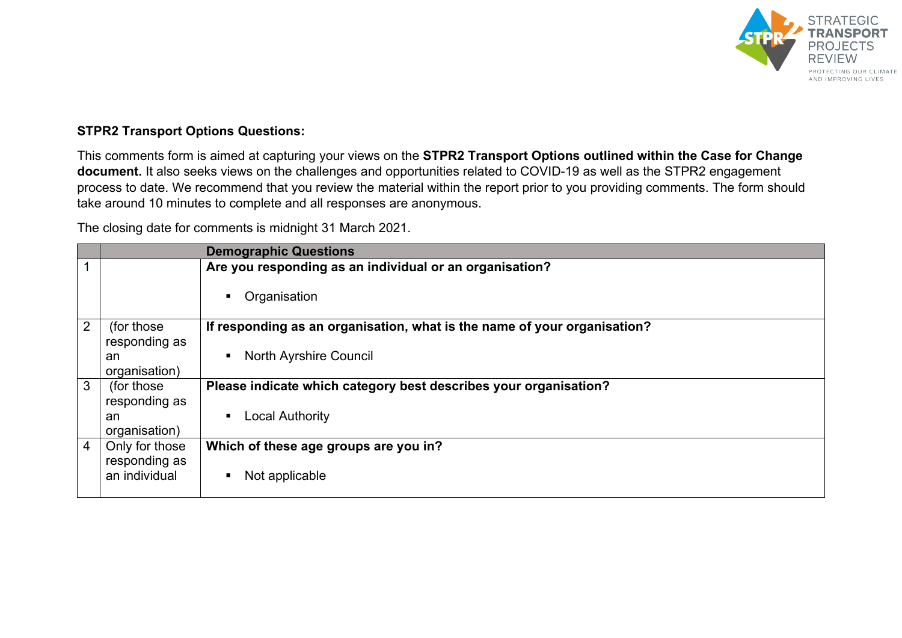

#### **STPR2 Transport Options Questions:**

This comments form is aimed at capturing your views on the **STPR2 Transport Options outlined within the Case for Change document.** It also seeks views on the challenges and opportunities related to COVID-19 as well as the STPR2 engagement process to date. We recommend that you review the material within the report prior to you providing comments. The form should take around 10 minutes to complete and all responses are anonymous.

The closing date for comments is midnight 31 March 2021.

|                |                | <b>Demographic Questions</b>                                             |
|----------------|----------------|--------------------------------------------------------------------------|
| $\mathbf{1}$   |                | Are you responding as an individual or an organisation?                  |
|                |                | Organisation                                                             |
| 2              | (for those)    | If responding as an organisation, what is the name of your organisation? |
|                | responding as  |                                                                          |
|                | an             | <b>North Ayrshire Council</b><br>$\blacksquare$                          |
|                | organisation)  |                                                                          |
| 3              | (for those)    | Please indicate which category best describes your organisation?         |
|                | responding as  |                                                                          |
|                | an             | <b>Local Authority</b><br>٠                                              |
|                | organisation)  |                                                                          |
| $\overline{4}$ | Only for those | Which of these age groups are you in?                                    |
|                | responding as  |                                                                          |
|                | an individual  | Not applicable                                                           |
|                |                |                                                                          |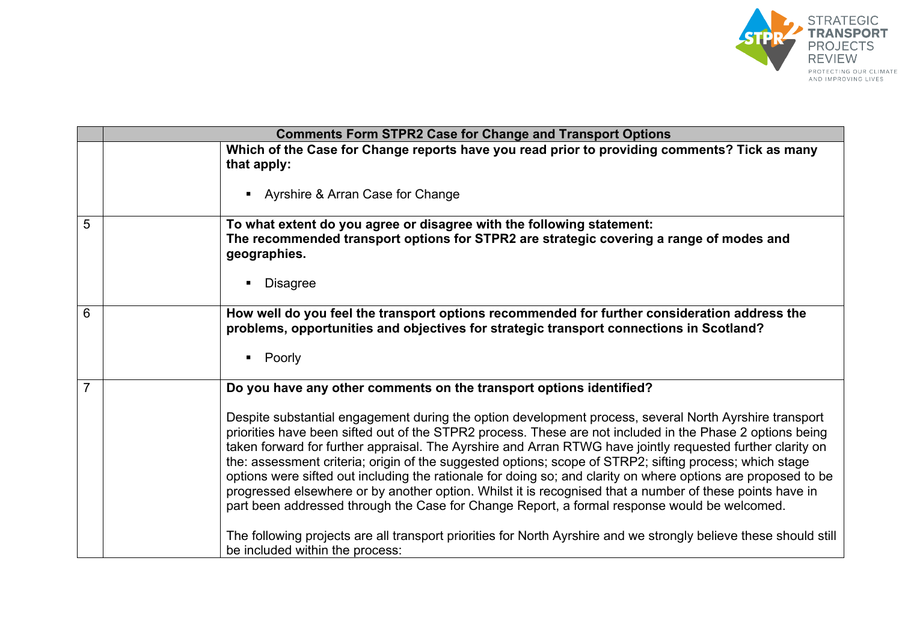

|                | <b>Comments Form STPR2 Case for Change and Transport Options</b>                                                                                                                                                                                                                                                                                                                                                                                                                                                                                                                                                                                                                                                                                                                                                                                                                                                                                                                                         |  |
|----------------|----------------------------------------------------------------------------------------------------------------------------------------------------------------------------------------------------------------------------------------------------------------------------------------------------------------------------------------------------------------------------------------------------------------------------------------------------------------------------------------------------------------------------------------------------------------------------------------------------------------------------------------------------------------------------------------------------------------------------------------------------------------------------------------------------------------------------------------------------------------------------------------------------------------------------------------------------------------------------------------------------------|--|
|                | Which of the Case for Change reports have you read prior to providing comments? Tick as many<br>that apply:<br>• Ayrshire & Arran Case for Change                                                                                                                                                                                                                                                                                                                                                                                                                                                                                                                                                                                                                                                                                                                                                                                                                                                        |  |
| 5              | To what extent do you agree or disagree with the following statement:<br>The recommended transport options for STPR2 are strategic covering a range of modes and<br>geographies.<br><b>Disagree</b>                                                                                                                                                                                                                                                                                                                                                                                                                                                                                                                                                                                                                                                                                                                                                                                                      |  |
| 6              | How well do you feel the transport options recommended for further consideration address the<br>problems, opportunities and objectives for strategic transport connections in Scotland?<br>• Poorly                                                                                                                                                                                                                                                                                                                                                                                                                                                                                                                                                                                                                                                                                                                                                                                                      |  |
| $\overline{7}$ | Do you have any other comments on the transport options identified?<br>Despite substantial engagement during the option development process, several North Ayrshire transport<br>priorities have been sifted out of the STPR2 process. These are not included in the Phase 2 options being<br>taken forward for further appraisal. The Ayrshire and Arran RTWG have jointly requested further clarity on<br>the: assessment criteria; origin of the suggested options; scope of STRP2; sifting process; which stage<br>options were sifted out including the rationale for doing so; and clarity on where options are proposed to be<br>progressed elsewhere or by another option. Whilst it is recognised that a number of these points have in<br>part been addressed through the Case for Change Report, a formal response would be welcomed.<br>The following projects are all transport priorities for North Ayrshire and we strongly believe these should still<br>be included within the process: |  |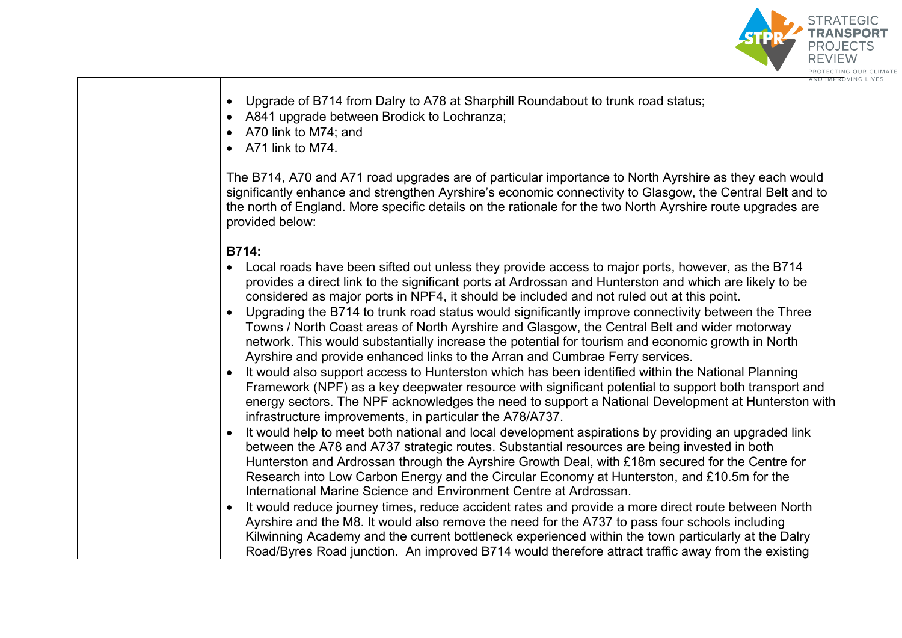

- Upgrade of B714 from Dalry to A78 at Sharphill Roundabout to trunk road status;
- A841 upgrade between Brodick to Lochranza;
- A70 link to M74; and
- A71 link to M74.

The B714, A70 and A71 road upgrades are of particular importance to North Ayrshire as they each would significantly enhance and strengthen Ayrshire's economic connectivity to Glasgow, the Central Belt and to the north of England. More specific details on the rationale for the two North Ayrshire route upgrades are provided below:

# **B714:**

- Local roads have been sifted out unless they provide access to major ports, however, as the B714 provides a direct link to the significant ports at Ardrossan and Hunterston and which are likely to be considered as major ports in NPF4, it should be included and not ruled out at this point.
- Upgrading the B714 to trunk road status would significantly improve connectivity between the Three Towns / North Coast areas of North Ayrshire and Glasgow, the Central Belt and wider motorway network. This would substantially increase the potential for tourism and economic growth in North Ayrshire and provide enhanced links to the Arran and Cumbrae Ferry services.
- It would also support access to Hunterston which has been identified within the National Planning Framework (NPF) as a key deepwater resource with significant potential to support both transport and energy sectors. The NPF acknowledges the need to support a National Development at Hunterston with infrastructure improvements, in particular the A78/A737.
- It would help to meet both national and local development aspirations by providing an upgraded link between the A78 and A737 strategic routes. Substantial resources are being invested in both Hunterston and Ardrossan through the Ayrshire Growth Deal, with £18m secured for the Centre for Research into Low Carbon Energy and the Circular Economy at Hunterston, and £10.5m for the International Marine Science and Environment Centre at Ardrossan.
- It would reduce journey times, reduce accident rates and provide a more direct route between North Ayrshire and the M8. It would also remove the need for the A737 to pass four schools including Kilwinning Academy and the current bottleneck experienced within the town particularly at the Dalry Road/Byres Road junction. An improved B714 would therefore attract traffic away from the existing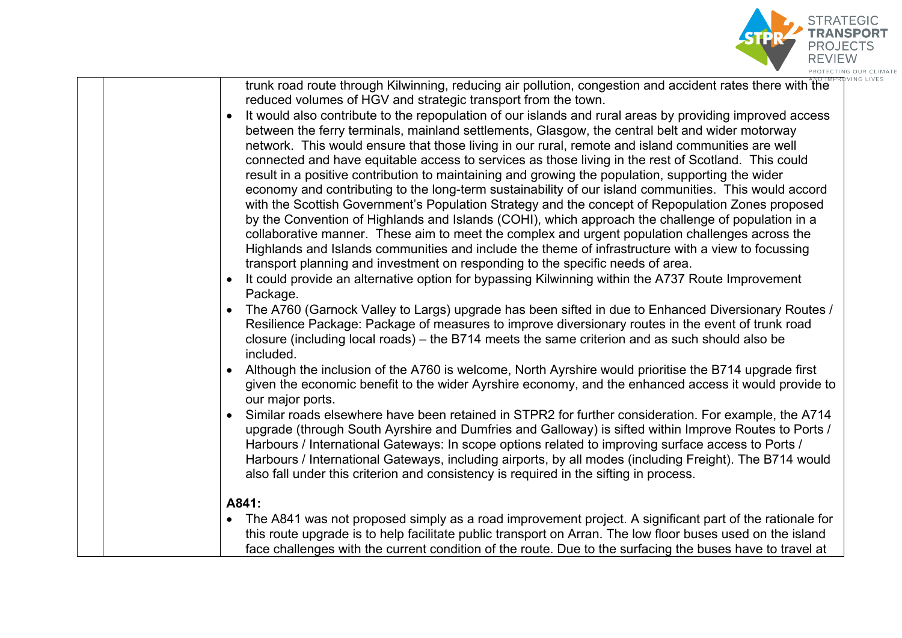

| trunk road route through Kilwinning, reducing air pollution, congestion and accident rates there with the<br>It would also contribute to the repopulation of our islands and rural areas by providing improved access<br>between the ferry terminals, mainland settlements, Glasgow, the central belt and wider motorway                                                                                       |
|----------------------------------------------------------------------------------------------------------------------------------------------------------------------------------------------------------------------------------------------------------------------------------------------------------------------------------------------------------------------------------------------------------------|
|                                                                                                                                                                                                                                                                                                                                                                                                                |
|                                                                                                                                                                                                                                                                                                                                                                                                                |
|                                                                                                                                                                                                                                                                                                                                                                                                                |
|                                                                                                                                                                                                                                                                                                                                                                                                                |
| network. This would ensure that those living in our rural, remote and island communities are well                                                                                                                                                                                                                                                                                                              |
| connected and have equitable access to services as those living in the rest of Scotland. This could                                                                                                                                                                                                                                                                                                            |
|                                                                                                                                                                                                                                                                                                                                                                                                                |
| economy and contributing to the long-term sustainability of our island communities. This would accord                                                                                                                                                                                                                                                                                                          |
|                                                                                                                                                                                                                                                                                                                                                                                                                |
| with the Scottish Government's Population Strategy and the concept of Repopulation Zones proposed                                                                                                                                                                                                                                                                                                              |
| by the Convention of Highlands and Islands (COHI), which approach the challenge of population in a                                                                                                                                                                                                                                                                                                             |
| collaborative manner. These aim to meet the complex and urgent population challenges across the                                                                                                                                                                                                                                                                                                                |
| Highlands and Islands communities and include the theme of infrastructure with a view to focussing                                                                                                                                                                                                                                                                                                             |
|                                                                                                                                                                                                                                                                                                                                                                                                                |
|                                                                                                                                                                                                                                                                                                                                                                                                                |
|                                                                                                                                                                                                                                                                                                                                                                                                                |
| The A760 (Garnock Valley to Largs) upgrade has been sifted in due to Enhanced Diversionary Routes /                                                                                                                                                                                                                                                                                                            |
| Resilience Package: Package of measures to improve diversionary routes in the event of trunk road                                                                                                                                                                                                                                                                                                              |
|                                                                                                                                                                                                                                                                                                                                                                                                                |
|                                                                                                                                                                                                                                                                                                                                                                                                                |
|                                                                                                                                                                                                                                                                                                                                                                                                                |
| Although the inclusion of the A760 is welcome, North Ayrshire would prioritise the B714 upgrade first                                                                                                                                                                                                                                                                                                          |
| given the economic benefit to the wider Ayrshire economy, and the enhanced access it would provide to                                                                                                                                                                                                                                                                                                          |
|                                                                                                                                                                                                                                                                                                                                                                                                                |
| Similar roads elsewhere have been retained in STPR2 for further consideration. For example, the A714                                                                                                                                                                                                                                                                                                           |
| upgrade (through South Ayrshire and Dumfries and Galloway) is sifted within Improve Routes to Ports /                                                                                                                                                                                                                                                                                                          |
|                                                                                                                                                                                                                                                                                                                                                                                                                |
| Harbours / International Gateways, including airports, by all modes (including Freight). The B714 would                                                                                                                                                                                                                                                                                                        |
|                                                                                                                                                                                                                                                                                                                                                                                                                |
|                                                                                                                                                                                                                                                                                                                                                                                                                |
|                                                                                                                                                                                                                                                                                                                                                                                                                |
| • The A841 was not proposed simply as a road improvement project. A significant part of the rationale for                                                                                                                                                                                                                                                                                                      |
| this route upgrade is to help facilitate public transport on Arran. The low floor buses used on the island                                                                                                                                                                                                                                                                                                     |
| face challenges with the current condition of the route. Due to the surfacing the buses have to travel at                                                                                                                                                                                                                                                                                                      |
| result in a positive contribution to maintaining and growing the population, supporting the wider<br>It could provide an alternative option for bypassing Kilwinning within the A737 Route Improvement<br>closure (including local roads) – the B714 meets the same criterion and as such should also be<br>Harbours / International Gateways: In scope options related to improving surface access to Ports / |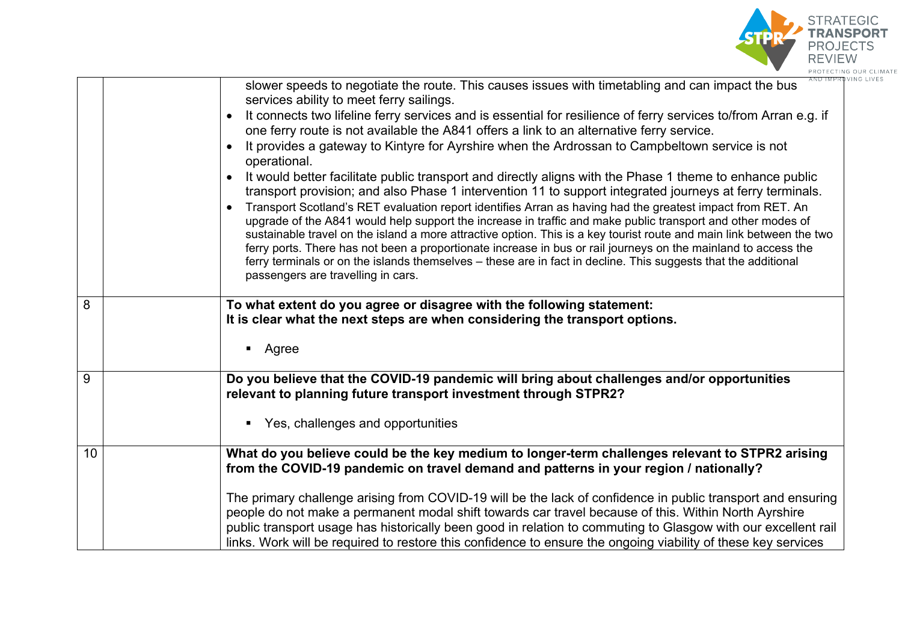

|                | slower speeds to negotiate the route. This causes issues with timetabling and can impact the bus<br>services ability to meet ferry sailings.<br>It connects two lifeline ferry services and is essential for resilience of ferry services to/from Arran e.g. if<br>one ferry route is not available the A841 offers a link to an alternative ferry service.<br>It provides a gateway to Kintyre for Ayrshire when the Ardrossan to Campbeltown service is not<br>operational.<br>It would better facilitate public transport and directly aligns with the Phase 1 theme to enhance public<br>transport provision; and also Phase 1 intervention 11 to support integrated journeys at ferry terminals.<br>Transport Scotland's RET evaluation report identifies Arran as having had the greatest impact from RET. An<br>upgrade of the A841 would help support the increase in traffic and make public transport and other modes of<br>sustainable travel on the island a more attractive option. This is a key tourist route and main link between the two<br>ferry ports. There has not been a proportionate increase in bus or rail journeys on the mainland to access the<br>ferry terminals or on the islands themselves - these are in fact in decline. This suggests that the additional<br>passengers are travelling in cars. |
|----------------|--------------------------------------------------------------------------------------------------------------------------------------------------------------------------------------------------------------------------------------------------------------------------------------------------------------------------------------------------------------------------------------------------------------------------------------------------------------------------------------------------------------------------------------------------------------------------------------------------------------------------------------------------------------------------------------------------------------------------------------------------------------------------------------------------------------------------------------------------------------------------------------------------------------------------------------------------------------------------------------------------------------------------------------------------------------------------------------------------------------------------------------------------------------------------------------------------------------------------------------------------------------------------------------------------------------------------------------|
| $\overline{8}$ | To what extent do you agree or disagree with the following statement:<br>It is clear what the next steps are when considering the transport options.<br>Agree<br>П                                                                                                                                                                                                                                                                                                                                                                                                                                                                                                                                                                                                                                                                                                                                                                                                                                                                                                                                                                                                                                                                                                                                                                   |
| $\overline{9}$ | Do you believe that the COVID-19 pandemic will bring about challenges and/or opportunities<br>relevant to planning future transport investment through STPR2?<br>Yes, challenges and opportunities<br>п                                                                                                                                                                                                                                                                                                                                                                                                                                                                                                                                                                                                                                                                                                                                                                                                                                                                                                                                                                                                                                                                                                                              |
| 10             | What do you believe could be the key medium to longer-term challenges relevant to STPR2 arising<br>from the COVID-19 pandemic on travel demand and patterns in your region / nationally?<br>The primary challenge arising from COVID-19 will be the lack of confidence in public transport and ensuring<br>people do not make a permanent modal shift towards car travel because of this. Within North Ayrshire<br>public transport usage has historically been good in relation to commuting to Glasgow with our excellent rail<br>links. Work will be required to restore this confidence to ensure the ongoing viability of these key services                                                                                                                                                                                                                                                                                                                                                                                                                                                                                                                                                                                                                                                                                    |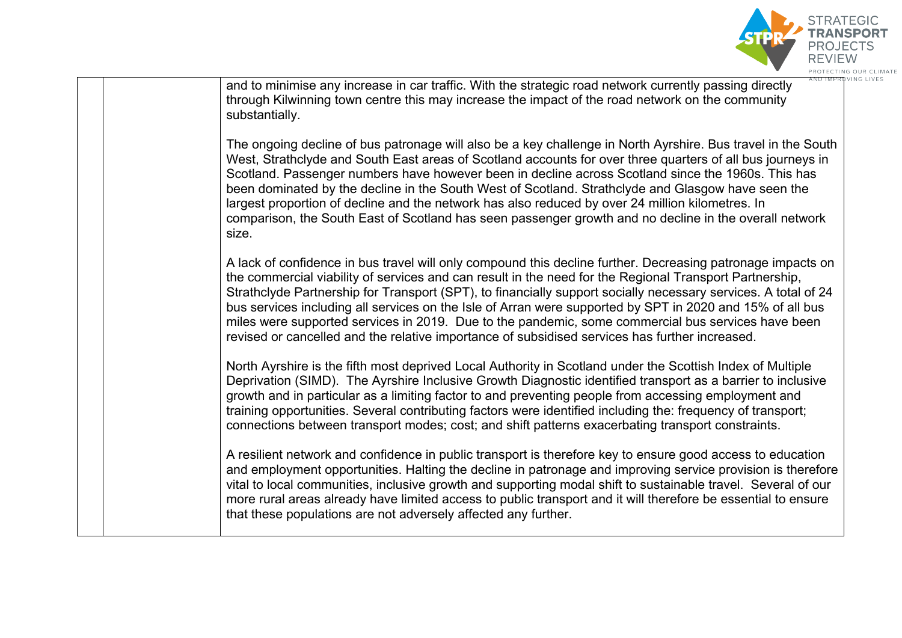

and to minimise any increase in car traffic. With the strategic road network currently passing directly through Kilwinning town centre this may increase the impact of the road network on the community substantially. The ongoing decline of bus patronage will also be a key challenge in North Ayrshire. Bus travel in the South West, Strathclyde and South East areas of Scotland accounts for over three quarters of all bus journeys in Scotland. Passenger numbers have however been in decline across Scotland since the 1960s. This has been dominated by the decline in the South West of Scotland. Strathclyde and Glasgow have seen the largest proportion of decline and the network has also reduced by over 24 million kilometres. In comparison, the South East of Scotland has seen passenger growth and no decline in the overall network size. A lack of confidence in bus travel will only compound this decline further. Decreasing patronage impacts on the commercial viability of services and can result in the need for the Regional Transport Partnership, Strathclyde Partnership for Transport (SPT), to financially support socially necessary services. A total of 24 bus services including all services on the Isle of Arran were supported by SPT in 2020 and 15% of all bus miles were supported services in 2019. Due to the pandemic, some commercial bus services have been revised or cancelled and the relative importance of subsidised services has further increased. North Ayrshire is the fifth most deprived Local Authority in Scotland under the Scottish Index of Multiple Deprivation (SIMD). The Ayrshire Inclusive Growth Diagnostic identified transport as a barrier to inclusive growth and in particular as a limiting factor to and preventing people from accessing employment and training opportunities. Several contributing factors were identified including the: frequency of transport; connections between transport modes; cost; and shift patterns exacerbating transport constraints. A resilient network and confidence in public transport is therefore key to ensure good access to education and employment opportunities. Halting the decline in patronage and improving service provision is therefore vital to local communities, inclusive growth and supporting modal shift to sustainable travel. Several of our more rural areas already have limited access to public transport and it will therefore be essential to ensure that these populations are not adversely affected any further.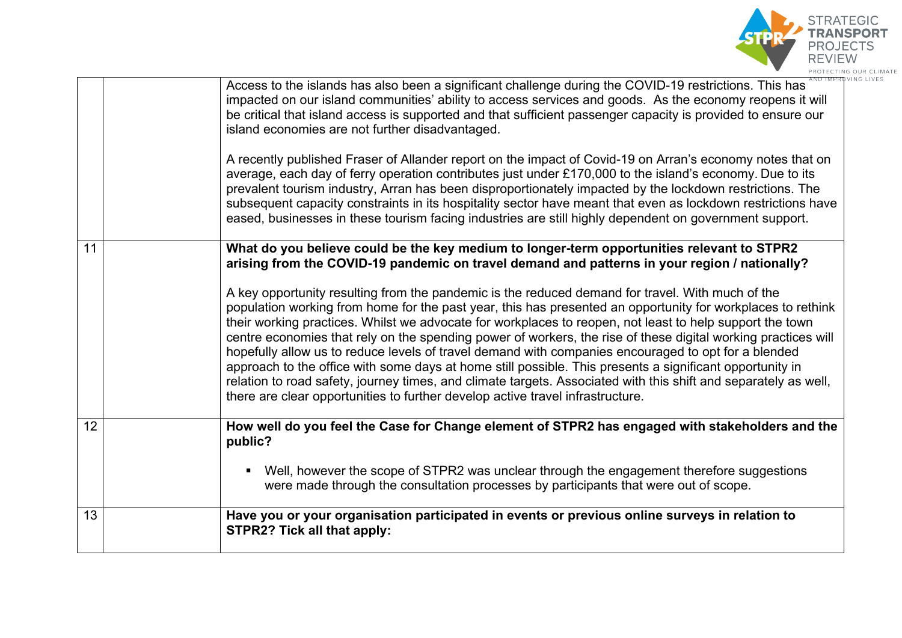

|    | Access to the islands has also been a significant challenge during the COVID-19 restrictions. This has<br>impacted on our island communities' ability to access services and goods. As the economy reopens it will<br>be critical that island access is supported and that sufficient passenger capacity is provided to ensure our<br>island economies are not further disadvantaged.<br>A recently published Fraser of Allander report on the impact of Covid-19 on Arran's economy notes that on<br>average, each day of ferry operation contributes just under £170,000 to the island's economy. Due to its<br>prevalent tourism industry, Arran has been disproportionately impacted by the lockdown restrictions. The<br>subsequent capacity constraints in its hospitality sector have meant that even as lockdown restrictions have<br>eased, businesses in these tourism facing industries are still highly dependent on government support.                                                                                                                |
|----|---------------------------------------------------------------------------------------------------------------------------------------------------------------------------------------------------------------------------------------------------------------------------------------------------------------------------------------------------------------------------------------------------------------------------------------------------------------------------------------------------------------------------------------------------------------------------------------------------------------------------------------------------------------------------------------------------------------------------------------------------------------------------------------------------------------------------------------------------------------------------------------------------------------------------------------------------------------------------------------------------------------------------------------------------------------------|
| 11 | What do you believe could be the key medium to longer-term opportunities relevant to STPR2<br>arising from the COVID-19 pandemic on travel demand and patterns in your region / nationally?<br>A key opportunity resulting from the pandemic is the reduced demand for travel. With much of the<br>population working from home for the past year, this has presented an opportunity for workplaces to rethink<br>their working practices. Whilst we advocate for workplaces to reopen, not least to help support the town<br>centre economies that rely on the spending power of workers, the rise of these digital working practices will<br>hopefully allow us to reduce levels of travel demand with companies encouraged to opt for a blended<br>approach to the office with some days at home still possible. This presents a significant opportunity in<br>relation to road safety, journey times, and climate targets. Associated with this shift and separately as well,<br>there are clear opportunities to further develop active travel infrastructure. |
| 12 | How well do you feel the Case for Change element of STPR2 has engaged with stakeholders and the<br>public?<br>Well, however the scope of STPR2 was unclear through the engagement therefore suggestions<br>$\blacksquare$<br>were made through the consultation processes by participants that were out of scope.                                                                                                                                                                                                                                                                                                                                                                                                                                                                                                                                                                                                                                                                                                                                                   |
| 13 | Have you or your organisation participated in events or previous online surveys in relation to<br><b>STPR2? Tick all that apply:</b>                                                                                                                                                                                                                                                                                                                                                                                                                                                                                                                                                                                                                                                                                                                                                                                                                                                                                                                                |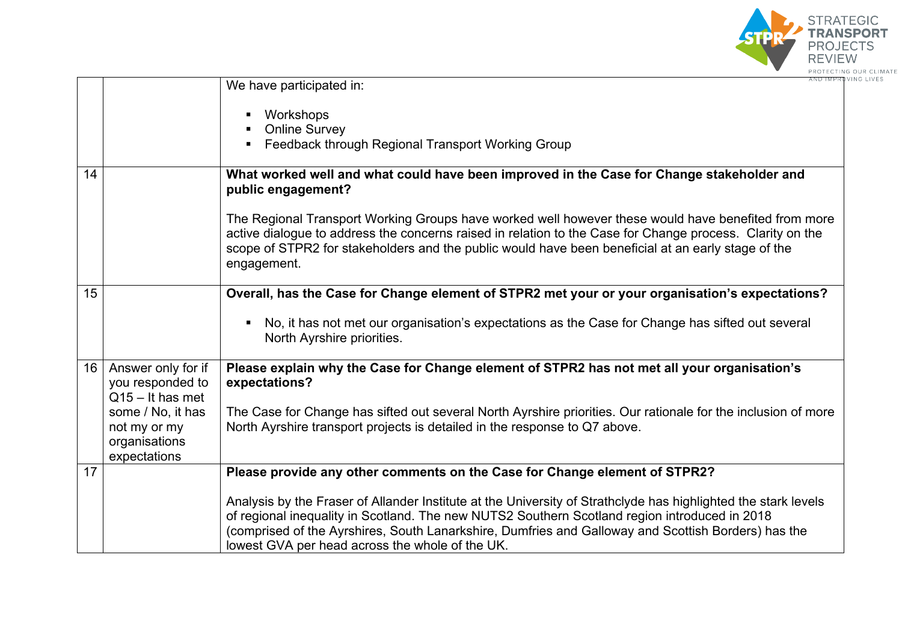

|    |                                                                    | We have participated in:                                                                                                                                                                                                                                                                                                                                                  |
|----|--------------------------------------------------------------------|---------------------------------------------------------------------------------------------------------------------------------------------------------------------------------------------------------------------------------------------------------------------------------------------------------------------------------------------------------------------------|
|    |                                                                    | Workshops<br><b>Online Survey</b><br>Feedback through Regional Transport Working Group                                                                                                                                                                                                                                                                                    |
| 14 |                                                                    | What worked well and what could have been improved in the Case for Change stakeholder and<br>public engagement?                                                                                                                                                                                                                                                           |
|    |                                                                    | The Regional Transport Working Groups have worked well however these would have benefited from more<br>active dialogue to address the concerns raised in relation to the Case for Change process. Clarity on the<br>scope of STPR2 for stakeholders and the public would have been beneficial at an early stage of the<br>engagement.                                     |
| 15 |                                                                    | Overall, has the Case for Change element of STPR2 met your or your organisation's expectations?                                                                                                                                                                                                                                                                           |
|    |                                                                    | No, it has not met our organisation's expectations as the Case for Change has sifted out several<br>North Ayrshire priorities.                                                                                                                                                                                                                                            |
|    | 16   Answer only for if<br>you responded to<br>$Q15 - It$ has met  | Please explain why the Case for Change element of STPR2 has not met all your organisation's<br>expectations?                                                                                                                                                                                                                                                              |
|    | some / No, it has<br>not my or my<br>organisations<br>expectations | The Case for Change has sifted out several North Ayrshire priorities. Our rationale for the inclusion of more<br>North Ayrshire transport projects is detailed in the response to Q7 above.                                                                                                                                                                               |
| 17 |                                                                    | Please provide any other comments on the Case for Change element of STPR2?                                                                                                                                                                                                                                                                                                |
|    |                                                                    | Analysis by the Fraser of Allander Institute at the University of Strathclyde has highlighted the stark levels<br>of regional inequality in Scotland. The new NUTS2 Southern Scotland region introduced in 2018<br>(comprised of the Ayrshires, South Lanarkshire, Dumfries and Galloway and Scottish Borders) has the<br>lowest GVA per head across the whole of the UK. |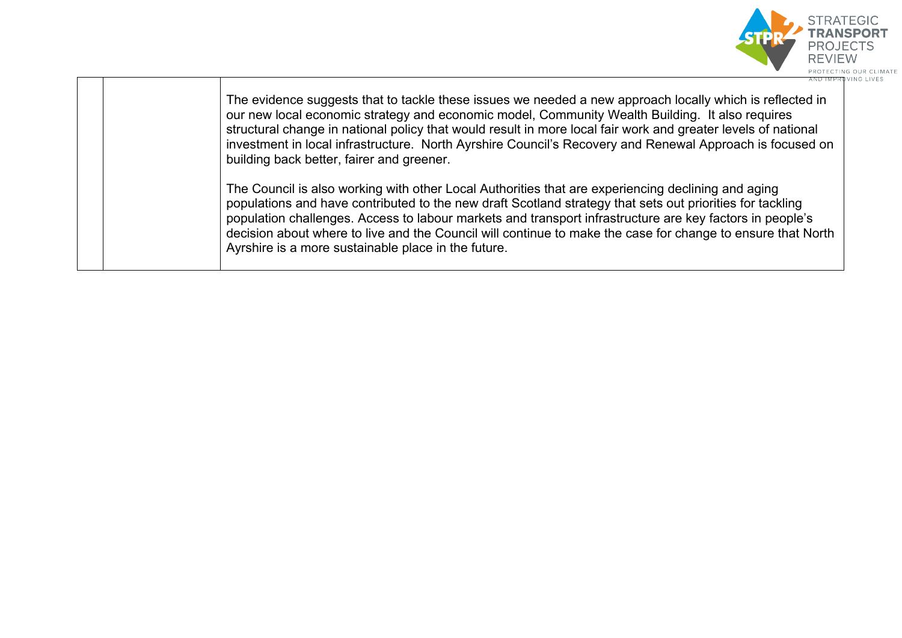

The evidence suggests that to tackle these issues we needed a new approach locally which is reflected in our new local economic strategy and economic model, Community Wealth Building. It also requires structural change in national policy that would result in more local fair work and greater levels of national investment in local infrastructure. North Ayrshire Council's Recovery and Renewal Approach is focused on building back better, fairer and greener.

The Council is also working with other Local Authorities that are experiencing declining and aging populations and have contributed to the new draft Scotland strategy that sets out priorities for tackling population challenges. Access to labour markets and transport infrastructure are key factors in people's decision about where to live and the Council will continue to make the case for change to ensure that North Ayrshire is a more sustainable place in the future.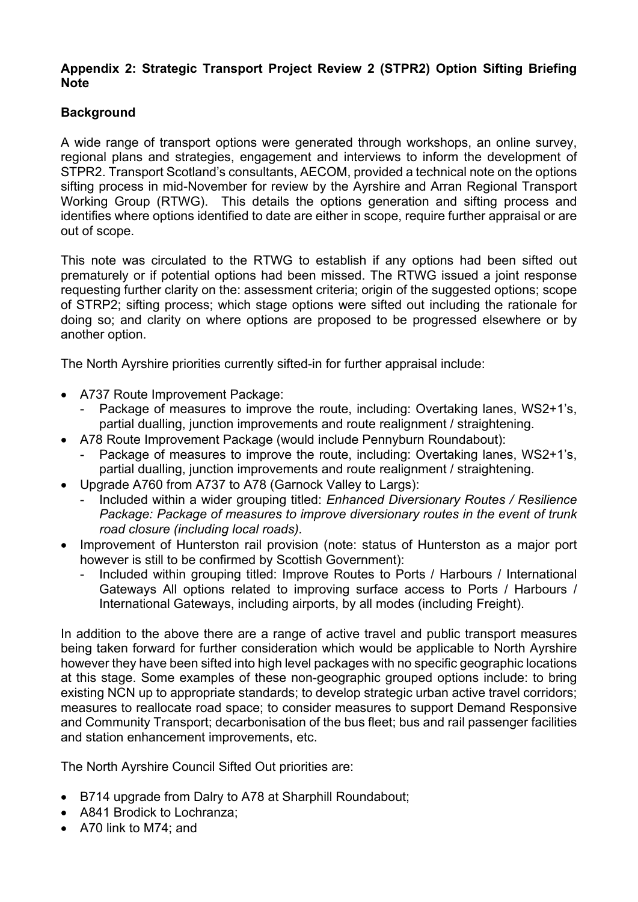#### **Appendix 2: Strategic Transport Project Review 2 (STPR2) Option Sifting Briefing Note**

# **Background**

A wide range of transport options were generated through workshops, an online survey, regional plans and strategies, engagement and interviews to inform the development of STPR2. Transport Scotland's consultants, AECOM, provided a technical note on the options sifting process in mid-November for review by the Ayrshire and Arran Regional Transport Working Group (RTWG). This details the options generation and sifting process and identifies where options identified to date are either in scope, require further appraisal or are out of scope.

This note was circulated to the RTWG to establish if any options had been sifted out prematurely or if potential options had been missed. The RTWG issued a joint response requesting further clarity on the: assessment criteria; origin of the suggested options; scope of STRP2; sifting process; which stage options were sifted out including the rationale for doing so; and clarity on where options are proposed to be progressed elsewhere or by another option.

The North Ayrshire priorities currently sifted-in for further appraisal include:

- A737 Route Improvement Package:
	- Package of measures to improve the route, including: Overtaking lanes, WS2+1's, partial dualling, junction improvements and route realignment / straightening.
- A78 Route Improvement Package (would include Pennyburn Roundabout):
	- Package of measures to improve the route, including: Overtaking lanes, WS2+1's, partial dualling, junction improvements and route realignment / straightening.
- Upgrade A760 from A737 to A78 (Garnock Valley to Largs):
	- Included within a wider grouping titled: *Enhanced Diversionary Routes / Resilience Package: Package of measures to improve diversionary routes in the event of trunk road closure (including local roads).*
- Improvement of Hunterston rail provision (note: status of Hunterston as a major port however is still to be confirmed by Scottish Government):
	- Included within grouping titled: Improve Routes to Ports / Harbours / International Gateways All options related to improving surface access to Ports / Harbours / International Gateways, including airports, by all modes (including Freight).

In addition to the above there are a range of active travel and public transport measures being taken forward for further consideration which would be applicable to North Ayrshire however they have been sifted into high level packages with no specific geographic locations at this stage. Some examples of these non-geographic grouped options include: to bring existing NCN up to appropriate standards; to develop strategic urban active travel corridors; measures to reallocate road space; to consider measures to support Demand Responsive and Community Transport; decarbonisation of the bus fleet; bus and rail passenger facilities and station enhancement improvements, etc.

The North Ayrshire Council Sifted Out priorities are:

- B714 upgrade from Dalry to A78 at Sharphill Roundabout;
- A841 Brodick to Lochranza:
- A70 link to M74; and